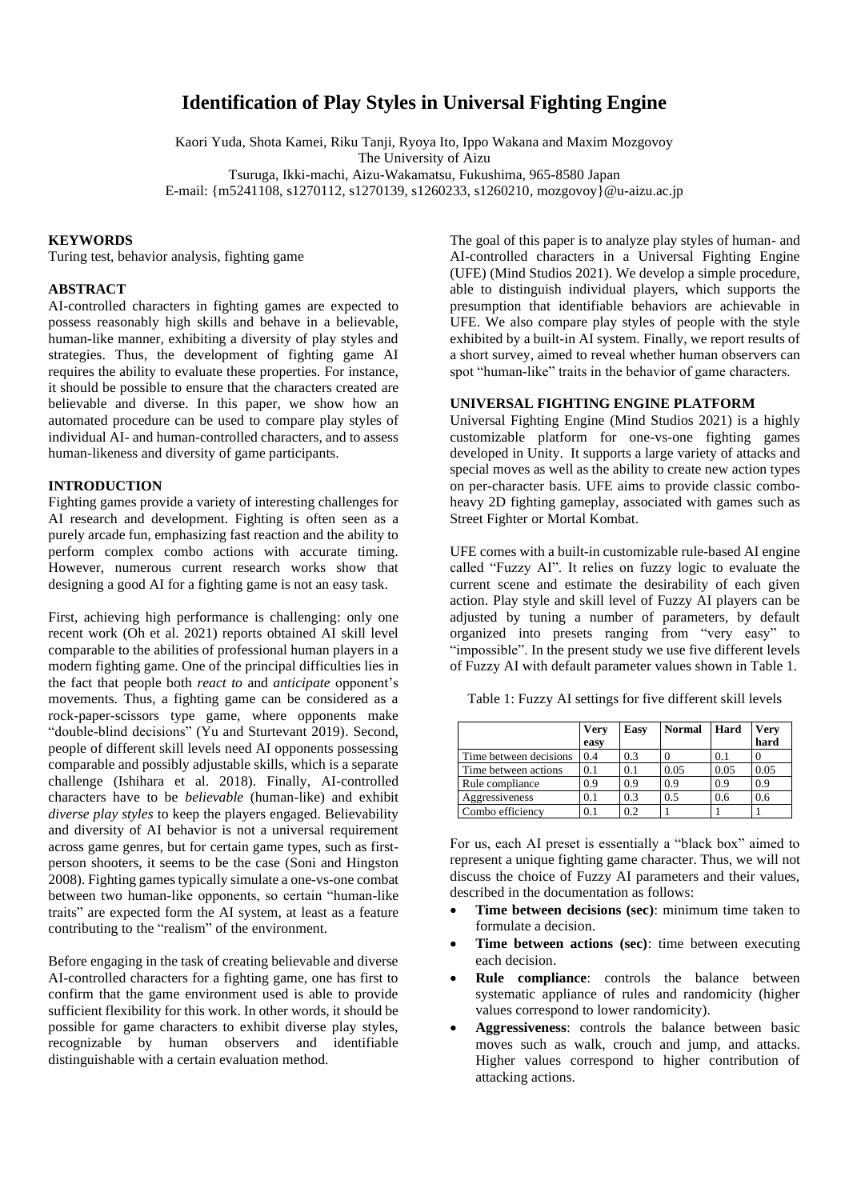# **Identification of Play Styles in Universal Fighting Engine**

Kaori Yuda, Shota Kamei, Riku Tanji, Ryoya Ito, Ippo Wakana and Maxim Mozgovoy The University of Aizu Tsuruga, Ikki-machi, Aizu-Wakamatsu, Fukushima, 965-8580 Japan E-mail: {m5241108, s1270112, s1270139, s1260233, s1260210, mozgovoy}@u-aizu.ac.jp

## **KEYWORDS**

Turing test, behavior analysis, fighting game

## **ABSTRACT**

AI-controlled characters in fighting games are expected to possess reasonably high skills and behave in a believable, human-like manner, exhibiting a diversity of play styles and strategies. Thus, the development of fighting game AI requires the ability to evaluate these properties. For instance, it should be possible to ensure that the characters created are believable and diverse. In this paper, we show how an automated procedure can be used to compare play styles of individual AI- and human-controlled characters, and to assess human-likeness and diversity of game participants.

## **INTRODUCTION**

Fighting games provide a variety of interesting challenges for AI research and development. Fighting is often seen as a purely arcade fun, emphasizing fast reaction and the ability to perform complex combo actions with accurate timing. However, numerous current research works show that designing a good AI for a fighting game is not an easy task.

First, achieving high performance is challenging: only one recent work (Oh et al. 2021) reports obtained AI skill level comparable to the abilities of professional human players in a modern fighting game. One of the principal difficulties lies in the fact that people both *react to* and *anticipate* opponent's movements. Thus, a fighting game can be considered as a rock-paper-scissors type game, where opponents make "double-blind decisions" (Yu and Sturtevant 2019). Second, people of different skill levels need AI opponents possessing comparable and possibly adjustable skills, which is a separate challenge (Ishihara et al. 2018). Finally, AI-controlled characters have to be *believable* (human-like) and exhibit *diverse play styles* to keep the players engaged. Believability and diversity of AI behavior is not a universal requirement across game genres, but for certain game types, such as firstperson shooters, it seems to be the case (Soni and Hingston 2008). Fighting games typically simulate a one-vs-one combat between two human-like opponents, so certain "human-like traits" are expected form the AI system, at least as a feature contributing to the "realism" of the environment.

Before engaging in the task of creating believable and diverse AI-controlled characters for a fighting game, one has first to confirm that the game environment used is able to provide sufficient flexibility for this work. In other words, it should be possible for game characters to exhibit diverse play styles, recognizable by human observers and identifiable distinguishable with a certain evaluation method.

The goal of this paper is to analyze play styles of human- and AI-controlled characters in a Universal Fighting Engine (UFE) (Mind Studios 2021). We develop a simple procedure, able to distinguish individual players, which supports the presumption that identifiable behaviors are achievable in UFE. We also compare play styles of people with the style exhibited by a built-in AI system. Finally, we report results of a short survey, aimed to reveal whether human observers can spot "human-like" traits in the behavior of game characters.

## **UNIVERSAL FIGHTING ENGINE PLATFORM**

Universal Fighting Engine (Mind Studios 2021) is a highly customizable platform for one-vs-one fighting games developed in Unity. It supports a large variety of attacks and special moves as well as the ability to create new action types on per-character basis. UFE aims to provide classic comboheavy 2D fighting gameplay, associated with games such as Street Fighter or Mortal Kombat.

UFE comes with a built-in customizable rule-based AI engine called "Fuzzy AI". It relies on fuzzy logic to evaluate the current scene and estimate the desirability of each given action. Play style and skill level of Fuzzy AI players can be adjusted by tuning a number of parameters, by default organized into presets ranging from "very easy" to "impossible". In the present study we use five different levels of Fuzzy AI with default parameter values shown in Table 1.

Table 1: Fuzzy AI settings for five different skill levels

|                        | <b>Very</b><br>easy | <b>Easy</b> | <b>Normal</b> | Hard | <b>Very</b><br>hard |
|------------------------|---------------------|-------------|---------------|------|---------------------|
| Time between decisions | 0.4                 | 0.3         |               | 0.1  |                     |
| Time between actions   | 0.1                 | 0.1         | 0.05          | 0.05 | 0.05                |
| Rule compliance        | 09                  | 0.9         | 0.9           | 0.9  | 0.9                 |
| Aggressiveness         | 0.1                 | 0.3         | 0.5           | 0.6  | 0.6                 |
| Combo efficiency       | 0.1                 | 0.2         |               |      |                     |

For us, each AI preset is essentially a "black box" aimed to represent a unique fighting game character. Thus, we will not discuss the choice of Fuzzy AI parameters and their values, described in the documentation as follows:

- **Time between decisions (sec)**: minimum time taken to formulate a decision.
- **Time between actions (sec)**: time between executing each decision.
- **Rule compliance**: controls the balance between systematic appliance of rules and randomicity (higher values correspond to lower randomicity).
- **Aggressiveness**: controls the balance between basic moves such as walk, crouch and jump, and attacks. Higher values correspond to higher contribution of attacking actions.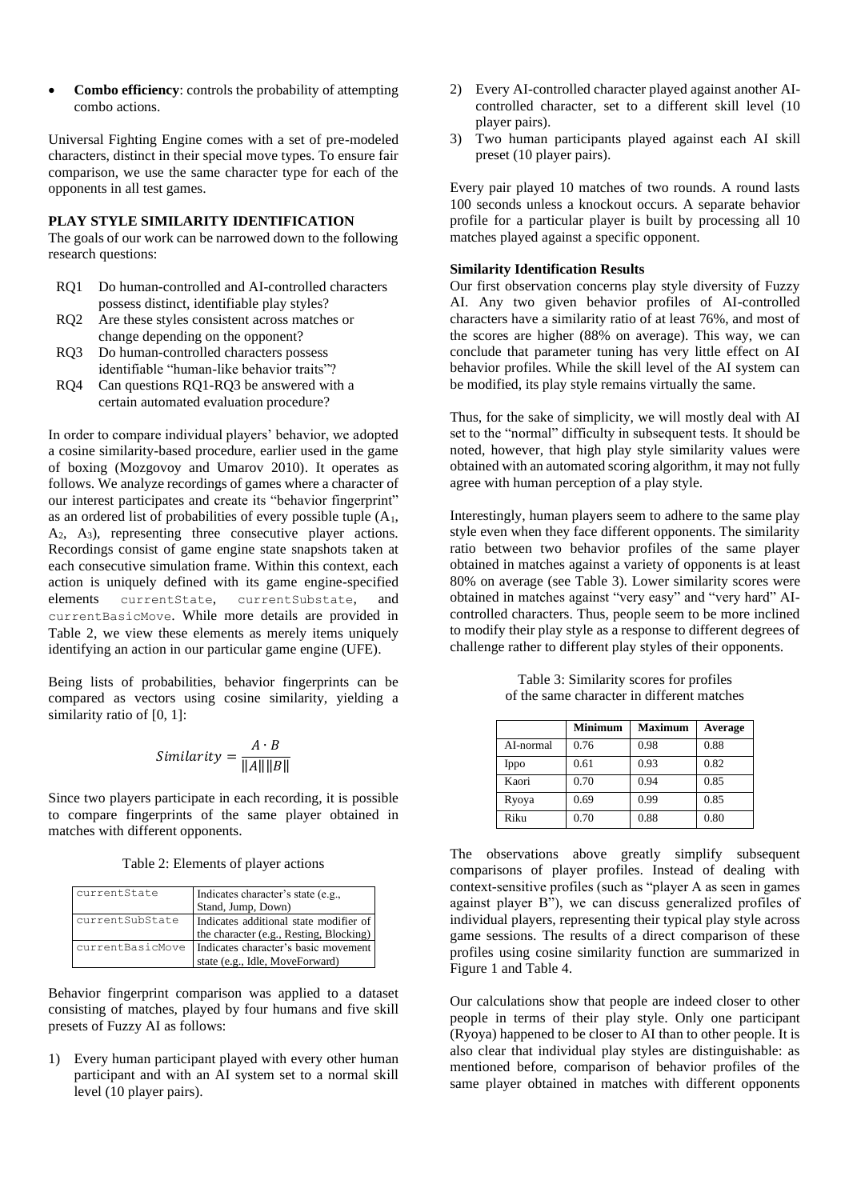• **Combo efficiency**: controls the probability of attempting combo actions.

Universal Fighting Engine comes with a set of pre-modeled characters, distinct in their special move types. To ensure fair comparison, we use the same character type for each of the opponents in all test games.

## **PLAY STYLE SIMILARITY IDENTIFICATION**

The goals of our work can be narrowed down to the following research questions:

- RQ1 Do human-controlled and AI-controlled characters possess distinct, identifiable play styles?
- RQ2 Are these styles consistent across matches or change depending on the opponent?
- RQ3 Do human-controlled characters possess identifiable "human-like behavior traits"?
- RQ4 Can questions RQ1-RQ3 be answered with a certain automated evaluation procedure?

In order to compare individual players' behavior, we adopted a cosine similarity-based procedure, earlier used in the game of boxing (Mozgovoy and Umarov 2010). It operates as follows. We analyze recordings of games where a character of our interest participates and create its "behavior fingerprint" as an ordered list of probabilities of every possible tuple  $(A<sub>1</sub>, A<sub>2</sub>)$  $A_2$ ,  $A_3$ ), representing three consecutive player actions. Recordings consist of game engine state snapshots taken at each consecutive simulation frame. Within this context, each action is uniquely defined with its game engine-specified elements currentState, currentSubstate, and currentBasicMove. While more details are provided in Table 2, we view these elements as merely items uniquely identifying an action in our particular game engine (UFE).

Being lists of probabilities, behavior fingerprints can be compared as vectors using cosine similarity, yielding a similarity ratio of [0, 1]:

$$
Similarity = \frac{A \cdot B}{\|A\| \|B\|}
$$

Since two players participate in each recording, it is possible to compare fingerprints of the same player obtained in matches with different opponents.

Table 2: Elements of player actions

| currentState     | Indicates character's state (e.g.,      |
|------------------|-----------------------------------------|
|                  | Stand, Jump, Down)                      |
| currentSubState  | Indicates additional state modifier of  |
|                  | the character (e.g., Resting, Blocking) |
| currentBasicMove | Indicates character's basic movement    |
|                  | state (e.g., Idle, MoveForward)         |

Behavior fingerprint comparison was applied to a dataset consisting of matches, played by four humans and five skill presets of Fuzzy AI as follows:

1) Every human participant played with every other human participant and with an AI system set to a normal skill level (10 player pairs).

- 2) Every AI-controlled character played against another AIcontrolled character, set to a different skill level (10 player pairs).
- 3) Two human participants played against each AI skill preset (10 player pairs).

Every pair played 10 matches of two rounds. A round lasts 100 seconds unless a knockout occurs. A separate behavior profile for a particular player is built by processing all 10 matches played against a specific opponent.

#### **Similarity Identification Results**

Our first observation concerns play style diversity of Fuzzy AI. Any two given behavior profiles of AI-controlled characters have a similarity ratio of at least 76%, and most of the scores are higher (88% on average). This way, we can conclude that parameter tuning has very little effect on AI behavior profiles. While the skill level of the AI system can be modified, its play style remains virtually the same.

Thus, for the sake of simplicity, we will mostly deal with AI set to the "normal" difficulty in subsequent tests. It should be noted, however, that high play style similarity values were obtained with an automated scoring algorithm, it may not fully agree with human perception of a play style.

Interestingly, human players seem to adhere to the same play style even when they face different opponents. The similarity ratio between two behavior profiles of the same player obtained in matches against a variety of opponents is at least 80% on average (see Table 3). Lower similarity scores were obtained in matches against "very easy" and "very hard" AIcontrolled characters. Thus, people seem to be more inclined to modify their play style as a response to different degrees of challenge rather to different play styles of their opponents.

|           | <b>Minimum</b> | <b>Maximum</b> | Average |
|-----------|----------------|----------------|---------|
| AI-normal | 0.76           | 0.98           | 0.88    |
| Ippo      | 0.61           | 0.93           | 0.82    |
| Kaori     | 0.70           | 0.94           | 0.85    |
| Ryoya     | 0.69           | 0.99           | 0.85    |
| Riku      | 0.70           | 0.88           | 0.80    |

Table 3: Similarity scores for profiles of the same character in different matches

The observations above greatly simplify subsequent comparisons of player profiles. Instead of dealing with context-sensitive profiles (such as "player A as seen in games against player B"), we can discuss generalized profiles of individual players, representing their typical play style across game sessions. The results of a direct comparison of these profiles using cosine similarity function are summarized in Figure 1 and Table 4.

Our calculations show that people are indeed closer to other people in terms of their play style. Only one participant (Ryoya) happened to be closer to AI than to other people. It is also clear that individual play styles are distinguishable: as mentioned before, comparison of behavior profiles of the same player obtained in matches with different opponents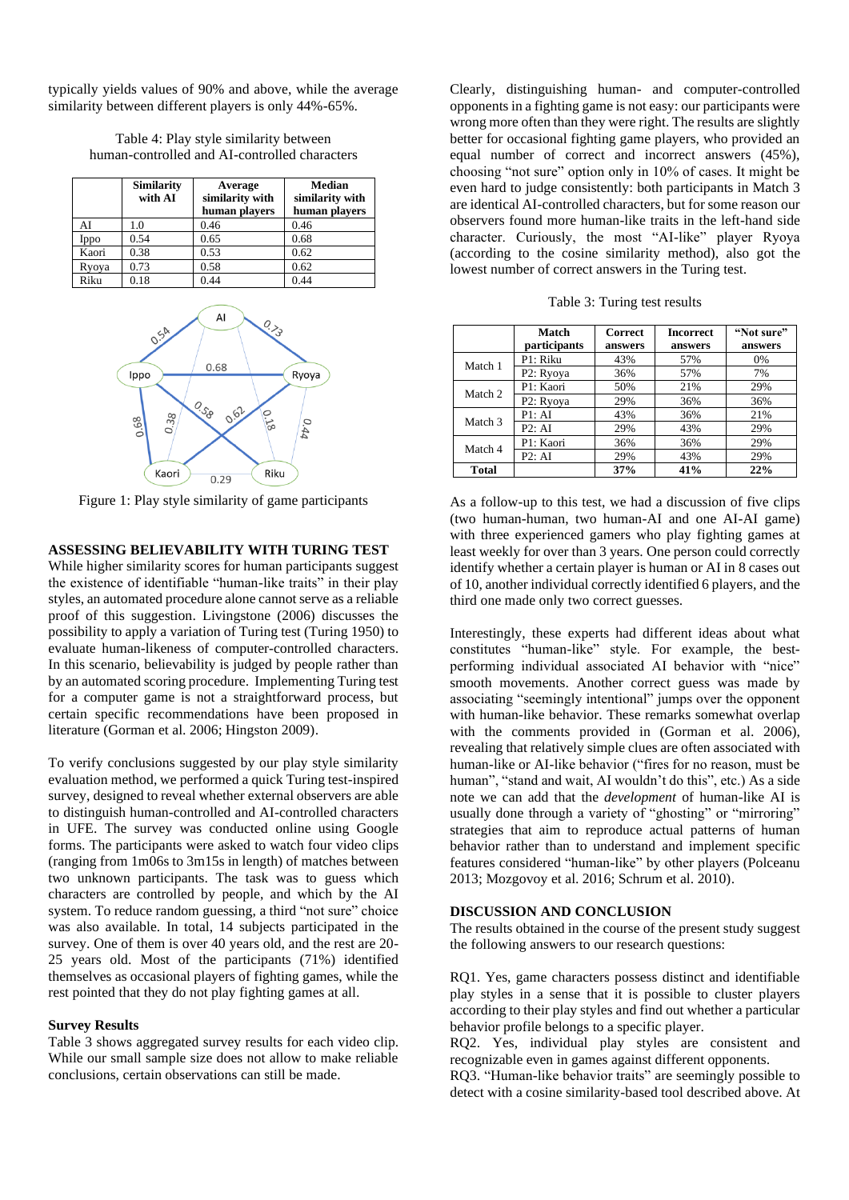typically yields values of 90% and above, while the average similarity between different players is only 44%-65%.

| Table 4: Play style similarity between        |
|-----------------------------------------------|
| human-controlled and AI-controlled characters |

|       | <b>Similarity</b><br>with AI | Average<br>similarity with<br>human players | <b>Median</b><br>similarity with<br>human players |
|-------|------------------------------|---------------------------------------------|---------------------------------------------------|
| AI    | 1.0                          | 0.46                                        | 0.46                                              |
| Ippo  | 0.54                         | 0.65                                        | 0.68                                              |
| Kaori | 0.38                         | 0.53                                        | 0.62                                              |
| Ryoya | 0.73                         | 0.58                                        | 0.62                                              |
| Riku  | 0.18                         | 0.44                                        | 0.44                                              |



Figure 1: Play style similarity of game participants

#### **ASSESSING BELIEVABILITY WITH TURING TEST**

While higher similarity scores for human participants suggest the existence of identifiable "human-like traits" in their play styles, an automated procedure alone cannot serve as a reliable proof of this suggestion. Livingstone (2006) discusses the possibility to apply a variation of Turing test (Turing 1950) to evaluate human-likeness of computer-controlled characters. In this scenario, believability is judged by people rather than by an automated scoring procedure. Implementing Turing test for a computer game is not a straightforward process, but certain specific recommendations have been proposed in literature (Gorman et al. 2006; Hingston 2009).

To verify conclusions suggested by our play style similarity evaluation method, we performed a quick Turing test-inspired survey, designed to reveal whether external observers are able to distinguish human-controlled and AI-controlled characters in UFE. The survey was conducted online using Google forms. The participants were asked to watch four video clips (ranging from 1m06s to 3m15s in length) of matches between two unknown participants. The task was to guess which characters are controlled by people, and which by the AI system. To reduce random guessing, a third "not sure" choice was also available. In total, 14 subjects participated in the survey. One of them is over 40 years old, and the rest are 20- 25 years old. Most of the participants (71%) identified themselves as occasional players of fighting games, while the rest pointed that they do not play fighting games at all.

#### **Survey Results**

Table 3 shows aggregated survey results for each video clip. While our small sample size does not allow to make reliable conclusions, certain observations can still be made.

Clearly, distinguishing human- and computer-controlled opponents in a fighting game is not easy: our participants were wrong more often than they were right. The results are slightly better for occasional fighting game players, who provided an equal number of correct and incorrect answers (45%), choosing "not sure" option only in 10% of cases. It might be even hard to judge consistently: both participants in Match 3 are identical AI-controlled characters, but for some reason our observers found more human-like traits in the left-hand side character. Curiously, the most "AI-like" player Ryoya (according to the cosine similarity method), also got the lowest number of correct answers in the Turing test.

| Table 3: Turing test results |  |  |  |
|------------------------------|--|--|--|
|------------------------------|--|--|--|

|              | Match<br>participants | <b>Correct</b><br>answers | <b>Incorrect</b><br>answers | "Not sure"<br>answers |
|--------------|-----------------------|---------------------------|-----------------------------|-----------------------|
|              |                       |                           |                             |                       |
| Match 1      | P1: Riku              | 43%                       | 57%                         | 0%                    |
|              | P2: Ryoya             | 36%                       | 57%                         | 7%                    |
| Match 2      | P1: Kaori             | 50%                       | 21%                         | 29%                   |
|              | P2: Ryoya             | 29%                       | 36%                         | 36%                   |
| Match 3      | P1:AI                 | 43%                       | 36%                         | 21%                   |
|              | P2:AI                 | 29%                       | 43%                         | 29%                   |
| Match 4      | P1: Kaori             | 36%                       | 36%                         | 29%                   |
|              | P2:AI                 | 29%                       | 43%                         | 29%                   |
| <b>Total</b> |                       | 37%                       | 41%                         | 22%                   |

As a follow-up to this test, we had a discussion of five clips (two human-human, two human-AI and one AI-AI game) with three experienced gamers who play fighting games at least weekly for over than 3 years. One person could correctly identify whether a certain player is human or AI in 8 cases out of 10, another individual correctly identified 6 players, and the third one made only two correct guesses.

Interestingly, these experts had different ideas about what constitutes "human-like" style. For example, the bestperforming individual associated AI behavior with "nice" smooth movements. Another correct guess was made by associating "seemingly intentional" jumps over the opponent with human-like behavior. These remarks somewhat overlap with the comments provided in (Gorman et al. 2006), revealing that relatively simple clues are often associated with human-like or AI-like behavior ("fires for no reason, must be human", "stand and wait, AI wouldn't do this", etc.) As a side note we can add that the *development* of human-like AI is usually done through a variety of "ghosting" or "mirroring" strategies that aim to reproduce actual patterns of human behavior rather than to understand and implement specific features considered "human-like" by other players (Polceanu 2013; Mozgovoy et al. 2016; Schrum et al. 2010).

#### **DISCUSSION AND CONCLUSION**

The results obtained in the course of the present study suggest the following answers to our research questions:

RQ1. Yes, game characters possess distinct and identifiable play styles in a sense that it is possible to cluster players according to their play styles and find out whether a particular behavior profile belongs to a specific player.

RQ2. Yes, individual play styles are consistent and recognizable even in games against different opponents.

RQ3. "Human-like behavior traits" are seemingly possible to detect with a cosine similarity-based tool described above. At